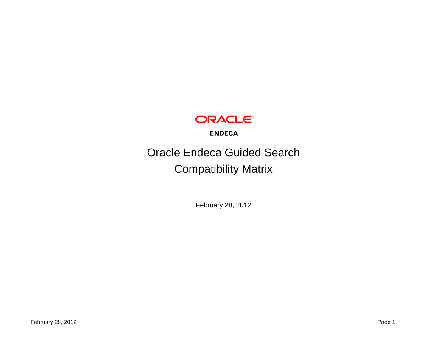

## Oracle Endeca Guided Search Compatibility Matrix

February 28, 2012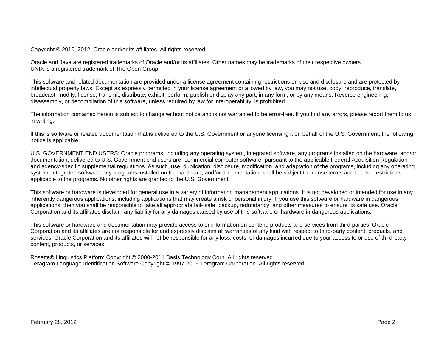Copyright © 2010, 2012, Oracle and/or its affiliates. All rights reserved.

Oracle and Java are registered trademarks of Oracle and/or its affiliates. Other names may be trademarks of their respective owners. UNIX is a registered trademark of The Open Group.

This software and related documentation are provided under a license agreement containing restrictions on use and disclosure and are protected by intellectual property laws. Except as expressly permitted in your license agreement or allowed by law, you may not use, copy, reproduce, translate, broadcast, modify, license, transmit, distribute, exhibit, perform, publish or display any part, in any form, or by any means. Reverse engineering, disassembly, or decompilation of this software, unless required by law for interoperability, is prohibited.

The information contained herein is subject to change without notice and is not warranted to be error-free. If you find any errors, please report them to us in writing.

If this is software or related documentation that is delivered to the U.S. Government or anyone licensing it on behalf of the U.S. Government, the following notice is applicable:

U.S. GOVERNMENT END USERS: Oracle programs, including any operating system, integrated software, any programs installed on the hardware, and/or documentation, delivered to U.S. Government end users are "commercial computer software" pursuant to the applicable Federal Acquisition Regulation and agency-specific supplemental regulations. As such, use, duplication, disclosure, modification, and adaptation of the programs, including any operating system, integrated software, any programs installed on the hardware, and/or documentation, shall be subject to license terms and license restrictions applicable to the programs. No other rights are granted to the U.S. Government.

This software or hardware is developed for general use in a variety of information management applications. It is not developed or intended for use in any inherently dangerous applications, including applications that may create a risk of personal injury. If you use this software or hardware in dangerous applications, then you shall be responsible to take all appropriate fail- safe, backup, redundancy, and other measures to ensure its safe use. Oracle Corporation and its affiliates disclaim any liability for any damages caused by use of this software or hardware in dangerous applications.

This software or hardware and documentation may provide access to or information on content, products and services from third parties. Oracle Corporation and its affiliates are not responsible for and expressly disclaim all warranties of any kind with respect to third-party content, products, and services. Oracle Corporation and its affiliates will not be responsible for any loss, costs, or damages incurred due to your access to or use of third-party content, products, or services.

Rosette® Linguistics Platform Copyright © 2000-2011 Basis Technology Corp. All rights reserved. Teragram Language Identification Software Copyright © 1997-2005 Teragram Corporation. All rights reserved.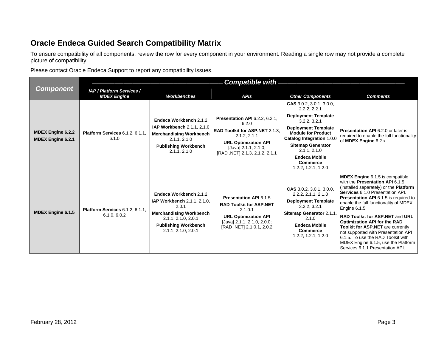## **Oracle Endeca Guided Search Compatibility Matrix**

To ensure compatibility of all components, review the row for every component in your environment. Reading a single row may not provide a complete picture of compatibility.

Please contact Oracle Endeca Support to report any compatibility issues.

| <b>Component</b>                                     | <b>Compatible with -</b>                               |                                                                                                                                                                                      |                                                                                                                                                                                                  |                                                                                                                                                                                                                                                                                              |                                                                                                                                                                                                                                                                                                                                                                                                                                                                                                                                                 |
|------------------------------------------------------|--------------------------------------------------------|--------------------------------------------------------------------------------------------------------------------------------------------------------------------------------------|--------------------------------------------------------------------------------------------------------------------------------------------------------------------------------------------------|----------------------------------------------------------------------------------------------------------------------------------------------------------------------------------------------------------------------------------------------------------------------------------------------|-------------------------------------------------------------------------------------------------------------------------------------------------------------------------------------------------------------------------------------------------------------------------------------------------------------------------------------------------------------------------------------------------------------------------------------------------------------------------------------------------------------------------------------------------|
|                                                      | <b>IAP / Platform Services /</b><br><b>MDEX Engine</b> | <b>Workbenches</b>                                                                                                                                                                   | <b>APIS</b>                                                                                                                                                                                      | <b>Other Components</b>                                                                                                                                                                                                                                                                      | <b>Comments</b>                                                                                                                                                                                                                                                                                                                                                                                                                                                                                                                                 |
| <b>MDEX Engine 6.2.2</b><br><b>MDEX Engine 6.2.1</b> | Platform Services 6.1.2, 6.1.1,<br>6.1.0               | Endeca Workbench 2.1.2<br><b>IAP Workbench 2.1.1, 2.1.0</b><br><b>Merchandising Workbench</b><br>2.1.1, 2.1.0<br><b>Publishing Workbench</b><br>2.1.1, 2.1.0                         | <b>Presentation API 6.2.2, 6.2.1,</b><br>6.2.0<br><b>RAD Toolkit for ASP.NET 2.1.3.</b><br>2.1.2, 2.1.1<br><b>URL Optimization API</b><br>[Java] 2.1.1, 2.1.0;<br>[RAD .NET] 2.1.3, 2.1.2, 2.1.1 | CAS 3.0.2, 3.0.1, 3.0.0,<br>2.2.2, 2.2.1<br><b>Deployment Template</b><br>3.2.2, 3.2.1<br><b>Deployment Template</b><br><b>Module for Product</b><br>Catalog Integration 1.0.0<br><b>Sitemap Generator</b><br>2.1.1, 2.1.0<br><b>Endeca Mobile</b><br><b>Commerce</b><br>1.2.2, 1.2.1, 1.2.0 | <b>Presentation API 6.2.0 or later is</b><br>required to enable the full functionality<br>of MDEX Engine 6.2.x.                                                                                                                                                                                                                                                                                                                                                                                                                                 |
| <b>MDEX Engine 6.1.5</b>                             | Platform Services 6.1.2, 6.1.1,<br>6.1.0, 6.0.2        | Endeca Workbench 2.1.2<br><b>IAP Workbench 2.1.1, 2.1.0,</b><br>2.0.1<br><b>Merchandising Workbench</b><br>2.1.1, 2.1.0, 2.0.1<br><b>Publishing Workbench</b><br>2.1.1, 2.1.0, 2.0.1 | <b>Presentation API 6.1.5</b><br><b>RAD Toolkit for ASP.NET</b><br>2.1.0.1<br><b>URL Optimization API</b><br>[Java] 2.1.1, 2.1.0, 2.0.0;<br>[RAD .NET] 2.1.0.1, 2.0.2                            | CAS 3.0.2, 3.0.1, 3.0.0,<br>2.2.2, 2.1.1, 2.1.0<br><b>Deployment Template</b><br>3.2.2, 3.2.1<br>Sitemap Generator 2.1.1<br>2.1.0<br><b>Endeca Mobile</b><br><b>Commerce</b><br>1.2.2, 1.2.1, 1.2.0                                                                                          | <b>MDEX Engine 6.1.5 is compatible</b><br>with the Presentation API 6.1.5<br>(installed separately) or the Platform<br>Services 6.1.0 Presentation API.<br><b>Presentation API 6.1.5 is required to</b><br>enable the full functionality of MDEX<br>Engine 6.1.5.<br><b>RAD Toolkit for ASP.NET and URL</b><br><b>Optimization API for the RAD</b><br>Toolkit for ASP.NET are currently<br>not supported with Presentation API<br>6.1.5. To use the RAD Toolkit with<br>MDEX Engine 6.1.5, use the Platform<br>Services 6.1.1 Presentation API. |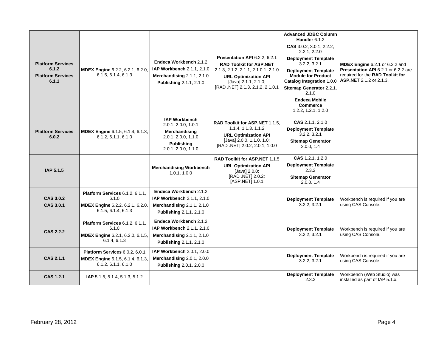| <b>Platform Services</b><br>6.1.2<br><b>Platform Services</b><br>6.1.1 | MDEX Engine 6.2.2, 6.2.1, 6.2.0,<br>6.1.5, 6.1.4, 6.1.3                                             | Endeca Workbench 2.1.2<br>IAP Workbench 2.1.1, 2.1.0<br>Merchandising 2.1.1, 2.1.0<br><b>Publishing 2.1.1, 2.1.0</b>            | Presentation API 6.2.2, 6.2.1<br><b>RAD Toolkit for ASP.NET</b><br>2.1.3, 2.1.2, 2.1.1, 2.1.0.1, 2.1.0<br><b>URL Optimization API</b><br>[Java] 2.1.1, 2.1.0;<br>[RAD .NET] 2.1.3, 2.1.2, 2.1.0.1 | <b>Advanced JDBC Column</b><br>Handler 6.1.2<br>CAS 3.0.2, 3.0.1, 2.2.2,<br>2.2.1, 2.2.0<br><b>Deployment Template</b><br>3.2.2, 3.2.1<br><b>Deployment Template</b><br><b>Module for Product</b><br>Catalog Integration 1.0.0<br>Sitemap Generator 2.2.1,<br>2.1.0<br><b>Endeca Mobile</b><br><b>Commerce</b><br>1.2.2, 1.2.1, 1.2.0 | <b>MDEX Engine 6.2.1 or 6.2.2 and</b><br><b>Presentation API 6.2.1 or 6.2.2 are</b><br>required for the RAD Toolkit for<br>ASP.NET 2.1.2 or 2.1.3. |
|------------------------------------------------------------------------|-----------------------------------------------------------------------------------------------------|---------------------------------------------------------------------------------------------------------------------------------|---------------------------------------------------------------------------------------------------------------------------------------------------------------------------------------------------|---------------------------------------------------------------------------------------------------------------------------------------------------------------------------------------------------------------------------------------------------------------------------------------------------------------------------------------|----------------------------------------------------------------------------------------------------------------------------------------------------|
| <b>Platform Services</b><br>6.0.2                                      | MDEX Engine 6.1.5, 6.1.4, 6.1.3,<br>6.1.2, 6.1.1, 6.1.0                                             | <b>IAP Workbench</b><br>2.0.1, 2.0.0, 1.0.1<br>Merchandising<br>2.0.1, 2.0.0, 1.1.0<br><b>Publishing</b><br>2.0.1, 2.0.0, 1.1.0 | RAD Toolkit for ASP.NET 1.1.5.<br>1.1.4, 1.1.3, 1.1.2<br><b>URL Optimization API</b><br>[Java] 2.0.0, 1.1.0, 1.0;<br>[RAD .NET] 2.0.2, 2.0.1, 1.0.0                                               | CAS 2.1.1, 2.1.0<br><b>Deployment Template</b><br>3.2.2, 3.2.1<br><b>Sitemap Generator</b><br>2.0.0, 1.4                                                                                                                                                                                                                              |                                                                                                                                                    |
| IAP 5.1.5                                                              |                                                                                                     | <b>Merchandising Workbench</b><br>1.0.1, 1.0.0                                                                                  | <b>RAD Toolkit for ASP.NET 1.1.5</b><br><b>URL Optimization API</b><br>[Java] 2.0.0;<br>[RAD .NET] 2.0.2;<br>[ASP.NET] 1.0.1                                                                      | CAS 1.2.1, 1.2.0<br><b>Deployment Template</b><br>2.3.2<br><b>Sitemap Generator</b><br>2.0.0, 1.4                                                                                                                                                                                                                                     |                                                                                                                                                    |
| CAS 3.0.2<br>CAS 3.0.1                                                 | Platform Services 6.1.2, 6.1.1,<br>6.1.0<br>MDEX Engine 6.2.2, 6.2.1, 6.2.0,<br>6.1.5, 6.1.4, 6.1.3 | Endeca Workbench 2.1.2<br><b>IAP Workbench 2.1.1, 2.1.0</b><br>Merchandising 2.1.1, 2.1.0<br><b>Publishing 2.1.1, 2.1.0</b>     |                                                                                                                                                                                                   | <b>Deployment Template</b><br>3.2.2, 3.2.1                                                                                                                                                                                                                                                                                            | Workbench is required if you are<br>using CAS Console.                                                                                             |
| CAS 2.2.2                                                              | Platform Services 6.1.2, 6.1.1,<br>6.1.0<br>MDEX Engine 6.2.1, 6.2.0, 6.1.5,<br>6.1.4, 6.1.3        | Endeca Workbench 2.1.2<br>IAP Workbench 2.1.1, 2.1.0<br>Merchandising 2.1.1, 2.1.0<br><b>Publishing 2.1.1, 2.1.0</b>            |                                                                                                                                                                                                   | <b>Deployment Template</b><br>3.2.2, 3.2.1                                                                                                                                                                                                                                                                                            | Workbench is required if you are<br>using CAS Console.                                                                                             |
| CAS 2.1.1                                                              | Platform Services 6.0.2, 6.0.1<br>MDEX Engine 6.1.5, 6.1.4, 6.1.3,<br>6.1.2, 6.1.1, 6.1.0           | <b>IAP Workbench 2.0.1, 2.0.0</b><br>Merchandising 2.0.1, 2.0.0<br><b>Publishing 2.0.1, 2.0.0</b>                               |                                                                                                                                                                                                   | <b>Deployment Template</b><br>3.2.2, 3.2.1                                                                                                                                                                                                                                                                                            | Workbench is required if you are<br>using CAS Console.                                                                                             |
| CAS 1.2.1                                                              | IAP 5.1.5, 5.1.4, 5.1.3, 5.1.2                                                                      |                                                                                                                                 |                                                                                                                                                                                                   | <b>Deployment Template</b><br>2.3.2                                                                                                                                                                                                                                                                                                   | Workbench (Web Studio) was<br>installed as part of IAP 5.1.x.                                                                                      |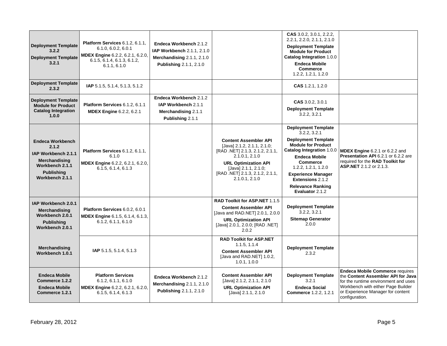| <b>Deployment Template</b><br>3.2.2<br><b>Deployment Template</b><br>3.2.1                                                          | Platform Services 6.1.2, 6.1.1,<br>6.1.0, 6.0.2, 6.0.1<br>MDEX Engine 6.2.2, 6.2.1, 6.2.0,<br>6.1.5, 6.1.4, 6.1.3, 6.1.2,<br>6.1.1, 6.1.0 | Endeca Workbench 2.1.2<br>IAP Workbench 2.1.1, 2.1.0<br>Merchandising 2.1.1, 2.1.0<br><b>Publishing 2.1.1, 2.1.0</b> |                                                                                                                                                                                                                              | CAS 3.0.2, 3.0.1, 2.2.2,<br>2.2.1, 2.2.0, 2.1.1, 2.1.0<br><b>Deployment Template</b><br><b>Module for Product</b><br>Catalog Integration 1.0.0<br><b>Endeca Mobile</b><br><b>Commerce</b><br>1.2.2, 1.2.1, 1.2.0                                                                                            |                                                                                                                                                                                                                   |
|-------------------------------------------------------------------------------------------------------------------------------------|-------------------------------------------------------------------------------------------------------------------------------------------|----------------------------------------------------------------------------------------------------------------------|------------------------------------------------------------------------------------------------------------------------------------------------------------------------------------------------------------------------------|-------------------------------------------------------------------------------------------------------------------------------------------------------------------------------------------------------------------------------------------------------------------------------------------------------------|-------------------------------------------------------------------------------------------------------------------------------------------------------------------------------------------------------------------|
| <b>Deployment Template</b><br>2.3.2                                                                                                 | IAP 5.1.5, 5.1.4, 5.1.3, 5.1.2                                                                                                            |                                                                                                                      |                                                                                                                                                                                                                              | CAS 1.2.1, 1.2.0                                                                                                                                                                                                                                                                                            |                                                                                                                                                                                                                   |
| <b>Deployment Template</b><br><b>Module for Product</b><br><b>Catalog Integration</b><br>1.0.0                                      | Platform Services 6.1.2, 6.1.1<br><b>MDEX Engine 6.2.2, 6.2.1</b>                                                                         | Endeca Workbench 2.1.2<br>IAP Workbench 2.1.1<br>Merchandising 2.1.1<br>Publishing 2.1.1                             |                                                                                                                                                                                                                              | CAS 3.0.2, 3.0.1<br><b>Deployment Template</b><br>3.2.2, 3.2.1                                                                                                                                                                                                                                              |                                                                                                                                                                                                                   |
| <b>Endeca Workbench</b><br>2.1.2<br>IAP Workbench 2.1.1<br>Merchandising<br>Workbench 2.1.1<br><b>Publishing</b><br>Workbench 2.1.1 | Platform Services 6.1.2, 6.1.1,<br>6.1.0<br>MDEX Engine 6.2.2, 6.2.1, 6.2.0,<br>6.1.5, 6.1.4, 6.1.3                                       |                                                                                                                      | <b>Content Assembler API</b><br>[Java] 2.1.2, 2.1.1, 2.1.0;<br>[RAD .NET] 2.1.3, 2.1.2, 2.1.1,<br>2.1.0.1, 2.1.0<br><b>URL Optimization API</b><br>[Java] 2.1.1, 2.1.0;<br>[RAD .NET] 2.1.3, 2.1.2, 2.1.1,<br>2.1.0.1, 2.1.0 | <b>Deployment Template</b><br>3.2.2, 3.2.1<br><b>Deployment Template</b><br><b>Module for Product</b><br>Catalog Integration 1.0.0<br><b>Endeca Mobile</b><br><b>Commerce</b><br>1.2.2, 1.2.1, 1.2.0<br><b>Experience Manager</b><br><b>Extensions 2.1.2</b><br><b>Relevance Ranking</b><br>Evaluator 2.1.2 | <b>MDEX Engine</b> 6.2.1 or 6.2.2 and<br><b>Presentation API 6.2.1 or 6.2.2 are</b><br>required for the RAD Toolkit for<br>ASP.NET 2.1.2 or 2.1.3.                                                                |
| IAP Workbench 2.0.1<br>Merchandising<br>Workbench 2.0.1<br><b>Publishing</b><br>Workbench 2.0.1                                     | Platform Services 6.0.2, 6.0.1<br><b>MDEX Engine 6.1.5, 6.1.4, 6.1.3,</b><br>6.1.2, 6.1.1, 6.1.0                                          |                                                                                                                      | RAD Toolkit for ASP.NET 1.1.5<br><b>Content Assembler API</b><br>[Java and RAD.NET] 2.0.1, 2.0.0<br><b>URL Optimization API</b><br>[Java] 2.0.1, 2.0.0; [RAD .NET]<br>2.0.2                                                  | <b>Deployment Template</b><br>3.2.2, 3.2.1<br><b>Sitemap Generator</b><br>2.0.0                                                                                                                                                                                                                             |                                                                                                                                                                                                                   |
| Merchandising<br>Workbench 1.0.1                                                                                                    | IAP 5.1.5, 5.1.4, 5.1.3                                                                                                                   |                                                                                                                      | <b>RAD Toolkit for ASP.NET</b><br>1.1.5, 1.1.4<br><b>Content Assembler API</b><br>[Java and RAD.NET] 1.0.2,<br>1.0.1, 1.0.0                                                                                                  | <b>Deployment Template</b><br>2.3.2                                                                                                                                                                                                                                                                         |                                                                                                                                                                                                                   |
| <b>Endeca Mobile</b><br>Commerce 1.2.2<br><b>Endeca Mobile</b><br>Commerce 1.2.1                                                    | <b>Platform Services</b><br>6.1.2, 6.1.1, 6.1.0<br>MDEX Engine 6.2.2, 6.2.1, 6.2.0,<br>6.1.5, 6.1.4, 6.1.3                                | Endeca Workbench 2.1.2<br>Merchandising 2.1.1, 2.1.0<br><b>Publishing 2.1.1, 2.1.0</b>                               | <b>Content Assembler API</b><br>[Java] 2.1.2, 2.1.1, 2.1.0<br><b>URL Optimization API</b><br>[Java] 2.1.1, 2.1.0                                                                                                             | <b>Deployment Template</b><br>3.2.1<br><b>Endeca Social</b><br><b>Commerce 1.2.2, 1.2.1</b>                                                                                                                                                                                                                 | <b>Endeca Mobile Commerce requires</b><br>the Content Assembler API for Java<br>for the runtime environment and uses<br>Workbench with either Page Builder<br>or Experience Manager for content<br>configuration. |